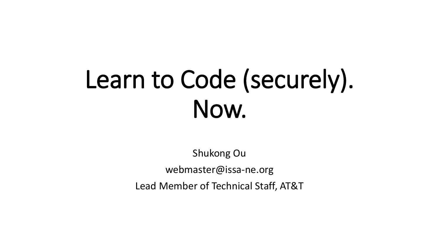# Learn to Code (securely). Now.

Shukong Ou webmaster@issa-ne.org Lead Member of Technical Staff, AT&T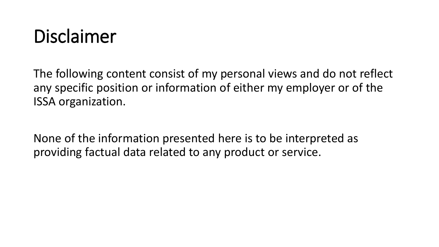### Disclaimer

The following content consist of my personal views and do not reflect any specific position or information of either my employer or of the ISSA organization.

None of the information presented here is to be interpreted as providing factual data related to any product or service.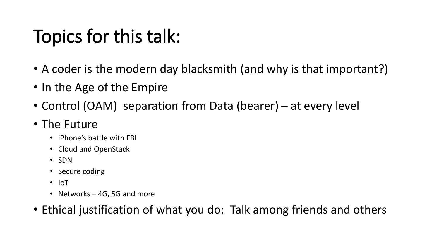## Topics for this talk:

- A coder is the modern day blacksmith (and why is that important?)
- In the Age of the Empire
- Control (OAM) separation from Data (bearer) at every level

#### • The Future

- iPhone's battle with FBI
- Cloud and OpenStack
- SDN
- Secure coding
- IoT
- Networks 4G, 5G and more
- Ethical justification of what you do: Talk among friends and others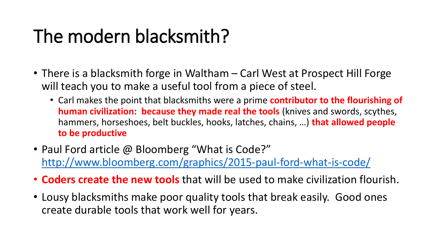## The modern blacksmith?

- There is a blacksmith forge in Waltham Carl West at Prospect Hill Forge will teach you to make a useful tool from a piece of steel.
	- Carl makes the point that blacksmiths were a prime **contributor to the flourishing of human civilization: because they made real the tools** (knives and swords, scythes, hammers, horseshoes, belt buckles, hooks, latches, chains, …) **that allowed people to be productive**
- Paul Ford article @ Bloomberg "What is Code?" <http://www.bloomberg.com/graphics/2015-paul-ford-what-is-code/>
- **Coders create the new tools** that will be used to make civilization flourish.
- Lousy blacksmiths make poor quality tools that break easily. Good ones create durable tools that work well for years.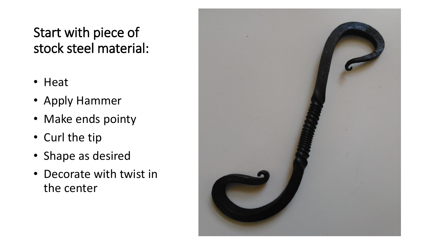#### Start with piece of stock steel material:

- Heat
- Apply Hammer
- Make ends pointy
- Curl the tip
- Shape as desired
- Decorate with twist in the center

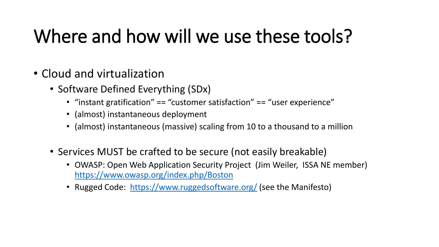## Where and how will we use these tools?

- Cloud and virtualization
	- Software Defined Everything (SDx)
		- "instant gratification" == "customer satisfaction" == "user experience"
		- (almost) instantaneous deployment
		- (almost) instantaneous (massive) scaling from 10 to a thousand to a million
	- Services MUST be crafted to be secure (not easily breakable)
		- OWASP: Open Web Application Security Project (Jim Weiler, ISSA NE member) <https://www.owasp.org/index.php/Boston>
		- Rugged Code: <https://www.ruggedsoftware.org/> (see the Manifesto)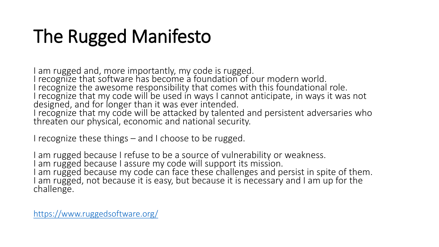## The Rugged Manifesto

am rugged and, more importantly, my code is rugged. I recognize that software has become a foundation of our modern world. I recognize the awesome responsibility that comes with this foundational role. I recognize that my code will be used in ways I cannot anticipate, in ways it was not designed, and for longer than it was ever intended. I recognize that my code will be attacked by talented and persistent adversaries who threaten our physical, economic and national security.

I recognize these things – and I choose to be rugged.

I am rugged because I refuse to be a source of vulnerability or weakness. I am rugged because I assure my code will support its mission. I am rugged because my code can face these challenges and persist in spite of them. am rugged, not because it is easy, but because it is necessary and I am up for the challenge.

<https://www.ruggedsoftware.org/>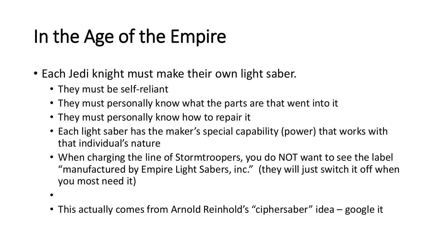# In the Age of the Empire

- Each Jedi knight must make their own light saber.
	- They must be self-reliant
	- They must personally know what the parts are that went into it
	- They must personally know how to repair it
	- Each light saber has the maker's special capability (power) that works with that individual's nature
	- When charging the line of Stormtroopers, you do NOT want to see the label "manufactured by Empire Light Sabers, inc." (they will just switch it off when you most need it)
	- •
	- This actually comes from Arnold Reinhold's "ciphersaber" idea google it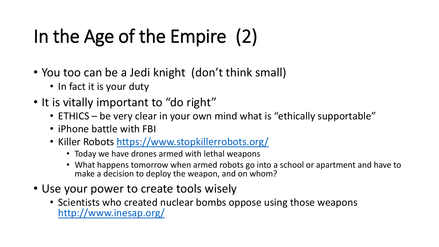# In the Age of the Empire (2)

- You too can be a Jedi knight (don't think small)
	- In fact it is your duty
- It is vitally important to "do right"
	- ETHICS be very clear in your own mind what is "ethically supportable"
	- iPhone battle with FBI
	- Killer Robots<https://www.stopkillerrobots.org/>
		- Today we have drones armed with lethal weapons
		- What happens tomorrow when armed robots go into a school or apartment and have to make a decision to deploy the weapon, and on whom?
- Use your power to create tools wisely
	- Scientists who created nuclear bombs oppose using those weapons <http://www.inesap.org/>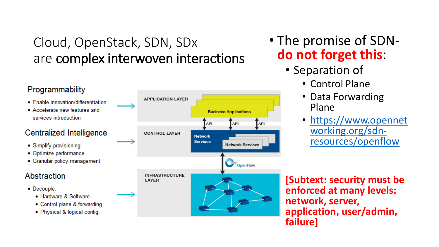#### Cloud, OpenStack, SDN, SDx are complex interwoven interactions

#### Programmability

- Enable innovation/differentiation
- Accelerate new features and services introduction

#### Centralized Intelligence

- Simplify provisioning
- · Optimize performance
- Granular policy management

#### Abstraction

- Decouple:
	- Hardware & Software
	- Control plane & forwarding
	- Physical & logical config.



- The promise of SDN**do not forget this**:
	- Separation of
		- Control Plane
		- Data Forwarding Plane
		- [https://www.opennet](https://www.opennetworking.org/sdn-resources/openflow) working.org/sdnresources/openflow

**[Subtext: security must be enforced at many levels: network, server, application, user/admin, failure]**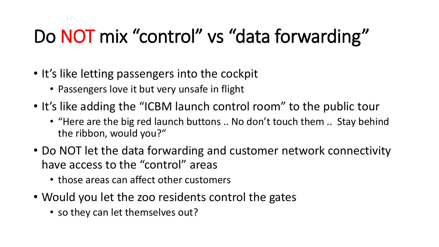# Do NOT mix "control" vs "data forwarding"

- It's like letting passengers into the cockpit
	- Passengers love it but very unsafe in flight
- It's like adding the "ICBM launch control room" to the public tour
	- "Here are the big red launch buttons .. No don't touch them .. Stay behind the ribbon, would you?"
- Do NOT let the data forwarding and customer network connectivity have access to the "control" areas
	- those areas can affect other customers
- Would you let the zoo residents control the gates
	- so they can let themselves out?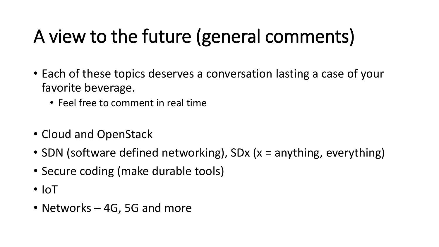## A view to the future (general comments)

- Each of these topics deserves a conversation lasting a case of your favorite beverage.
	- Feel free to comment in real time
- Cloud and OpenStack
- SDN (software defined networking), SDx (x = anything, everything)
- Secure coding (make durable tools)
- IoT
- Networks 4G, 5G and more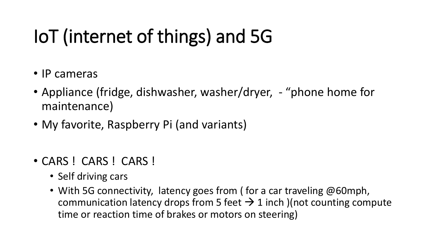# IoT (internet of things) and 5G

- IP cameras
- Appliance (fridge, dishwasher, washer/dryer, "phone home for maintenance)
- My favorite, Raspberry Pi (and variants)
- CARS ! CARS ! CARS !
	- Self driving cars
	- With 5G connectivity, latency goes from (for a car traveling @60mph, communication latency drops from 5 feet  $\rightarrow$  1 inch )(not counting compute time or reaction time of brakes or motors on steering)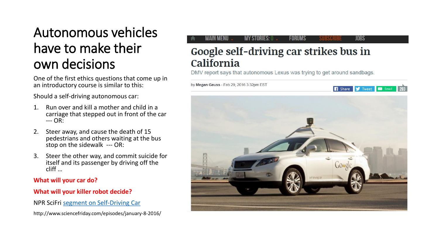#### Autonomous vehicles have to make their own decisions

One of the first ethics questions that come up in an introductory course is similar to this:

Should a self-driving autonomous car:

- 1. Run over and kill a mother and child in a carriage that stepped out in front of the car --- OR:
- 2. Steer away, and cause the death of 15 pedestrians and others waiting at the bus stop on the sidewalk --- OR:
- 3. Steer the other way, and commit suicide for itself and its passenger by driving off the cliff …

#### **What will your car do?**

#### **What will your killer robot decide?**

NPR SciFri [segment on Self-Driving Car](http://www.sciencefriday.com/episodes/january-8-2016/)

http://www.sciencefriday.com/episodes/january-8-2016/

#### MAIN MENU **MY STORIES: 0 FORUMS JOBS**

#### Google self-driving car strikes bus in California

DMV report says that autonomous Lexus was trying to get around sandbags.

by Megan Geuss - Feb 29, 2016 3:32pm EST

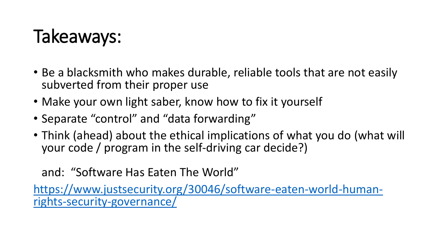### Takeaways:

- Be a blacksmith who makes durable, reliable tools that are not easily subverted from their proper use
- Make your own light saber, know how to fix it yourself
- Separate "control" and "data forwarding"
- Think (ahead) about the ethical implications of what you do (what will your code / program in the self-driving car decide?)

#### and: "Software Has Eaten The World"

[https://www.justsecurity.org/30046/software-eaten-world-human](https://www.justsecurity.org/30046/software-eaten-world-human-rights-security-governance/)rights-security-governance/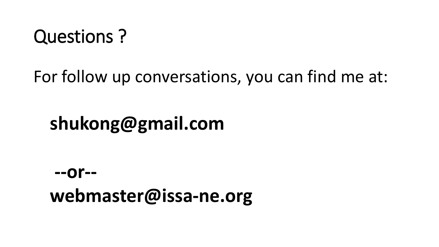#### Questions ?

For follow up conversations, you can find me at:

#### **shukong@gmail.com**

#### **--or- webmaster@issa-ne.org**